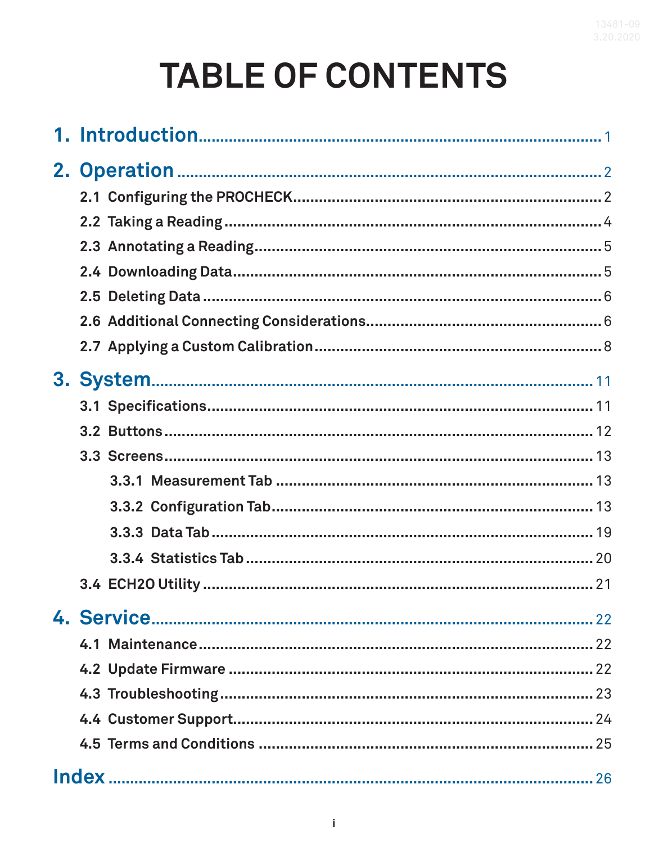# **TABLE OF CONTENTS**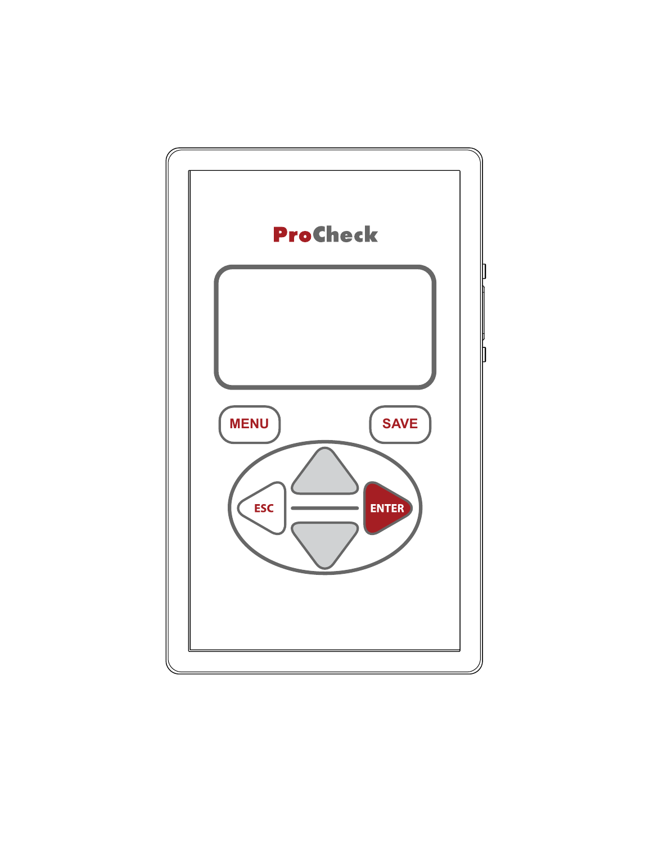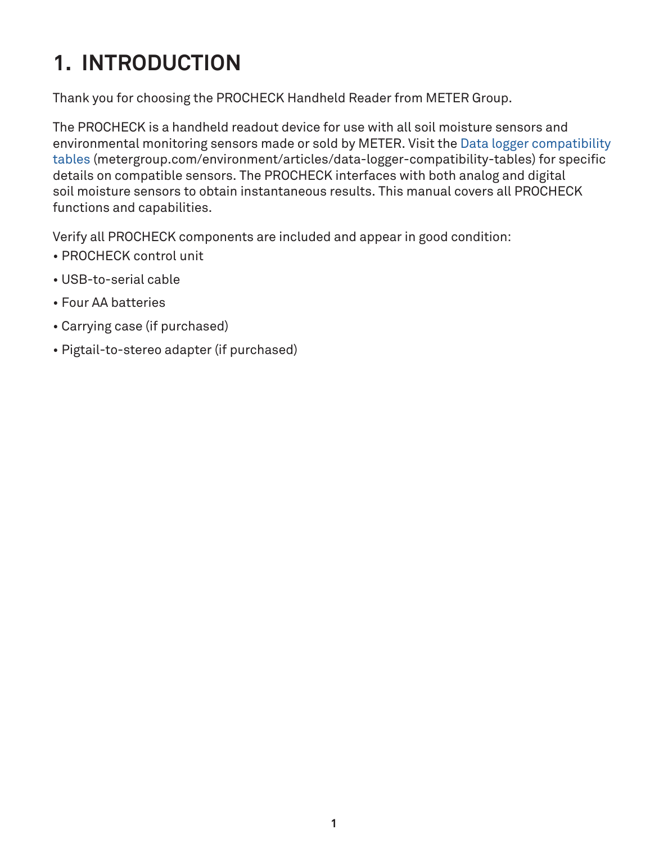# <span id="page-3-0"></span>**1. INTRODUCTION**

Thank you for choosing the PROCHECK Handheld Reader from METER Group.

The PROCHECK is a handheld readout device for use with all soil moisture sensors and environmental monitoring sensors made or sold by METER. Visit the [Data logger compatibility](mailto:https://www.metergroup.com/environment/articles/data-logger-compatibility-tables?subject=)  [tables](mailto:https://www.metergroup.com/environment/articles/data-logger-compatibility-tables?subject=) [\(metergroup.com/environment/articles/data-logger-compatibility-tables](mailto:/environment/articles/data-logger-compatibility-tables/?subject=)) for specific details on compatible sensors. The PROCHECK interfaces with both analog and digital soil moisture sensors to obtain instantaneous results. This manual covers all PROCHECK functions and capabilities.

Verify all PROCHECK components are included and appear in good condition:

- PROCHECK control unit
- USB-to-serial cable
- Four AA batteries
- Carrying case (if purchased)
- Pigtail-to-stereo adapter (if purchased)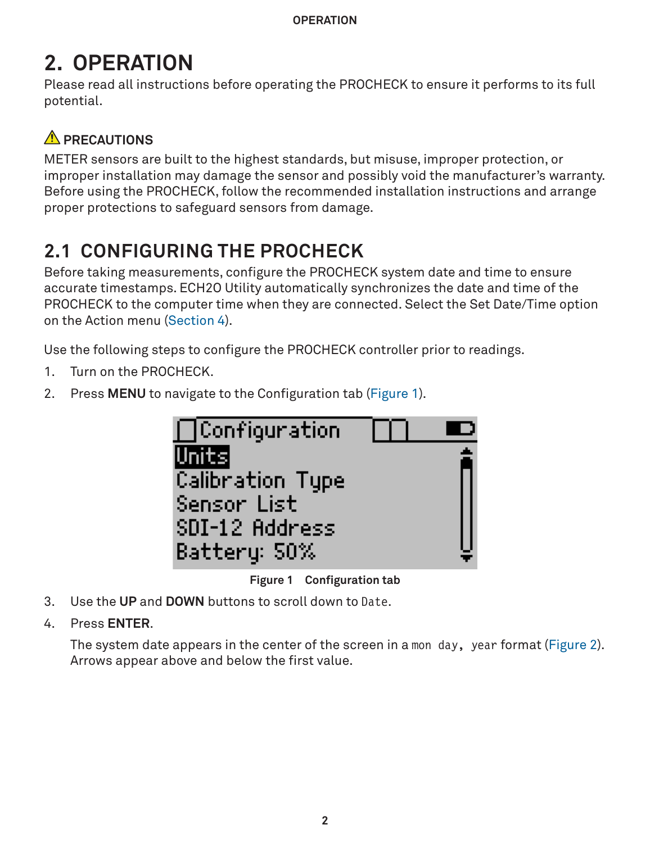# <span id="page-4-0"></span>**2. OPERATION**

Please read all instructions before operating the PROCHECK to ensure it performs to its full potential.

# **A** PRECAUTIONS

METER sensors are built to the highest standards, but misuse, improper protection, or improper installation may damage the sensor and possibly void the manufacturer's warranty. Before using the PROCHECK, follow the recommended installation instructions and arrange proper protections to safeguard sensors from damage.

# <span id="page-4-3"></span>**2.1 CONFIGURING THE PROCHECK**

Before taking measurements, configure the PROCHECK system date and time to ensure accurate timestamps. ECH2O Utility automatically synchronizes the date and time of the PROCHECK to the computer time when they are connected. Select the Set Date/Time option on the Action menu ([Section 4\)](#page-24-1).

Use the following steps to configure the PROCHECK controller prior to readings.

- <span id="page-4-2"></span>1. Turn on the PROCHECK.
- 2. Press **MENU** to navigate to the Configuration tab ([Figure 1](#page-4-1)).

<span id="page-4-1"></span>

**Figure 1 Configuration tab**

- 3. Use the **UP** and **DOWN** buttons to scroll down to Date.
- 4. Press **ENTER**.

The system date appears in the center of the screen in a mon day, year format ([Figure 2\)](#page-5-0). Arrows appear above and below the first value.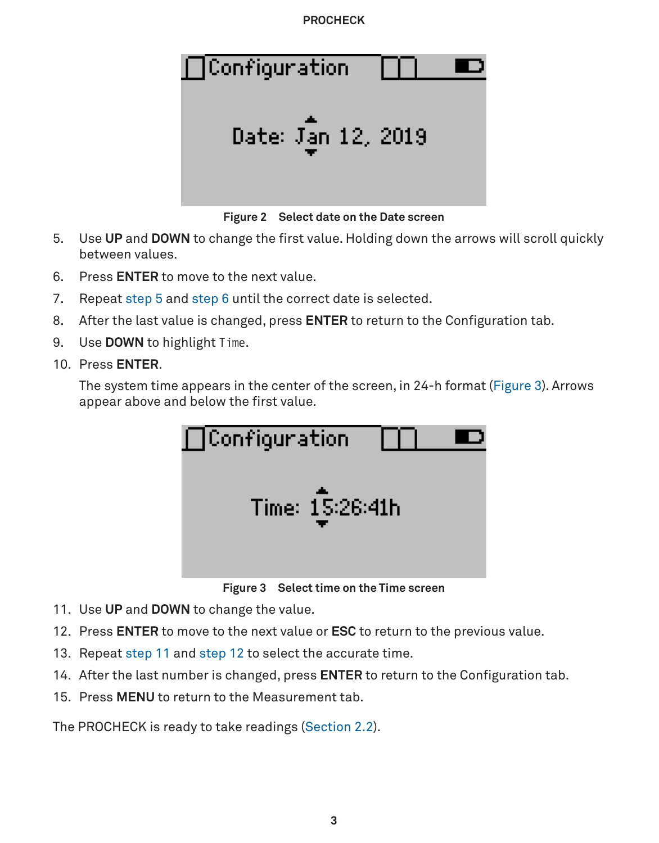<span id="page-5-6"></span><span id="page-5-0"></span>

- <span id="page-5-1"></span>5. Use **UP** and **DOWN** to change the first value. Holding down the arrows will scroll quickly between values.
- <span id="page-5-2"></span>6. Press **ENTER** to move to the next value.
- 7. Repeat [step 5](#page-5-1) and [step 6](#page-5-2) until the correct date is selected.
- 8. After the last value is changed, press **ENTER** to return to the Configuration tab.
- 9. Use **DOWN** to highlight Time.
- 10. Press **ENTER**.

The system time appears in the center of the screen, in 24-h format ([Figure 3](#page-5-3)). Arrows appear above and below the first value.



<span id="page-5-3"></span>**Figure 3 Select time on the Time screen**

- <span id="page-5-4"></span>11. Use **UP** and **DOWN** to change the value.
- <span id="page-5-5"></span>12. Press **ENTER** to move to the next value or **ESC** to return to the previous value.
- 13. Repeat [step 11](#page-5-4) and [step 12](#page-5-5) to select the accurate time.
- 14. After the last number is changed, press **ENTER** to return to the Configuration tab.
- 15. Press **MENU** to return to the Measurement tab.

The PROCHECK is ready to take readings [\(Section 2.2\)](#page-6-1).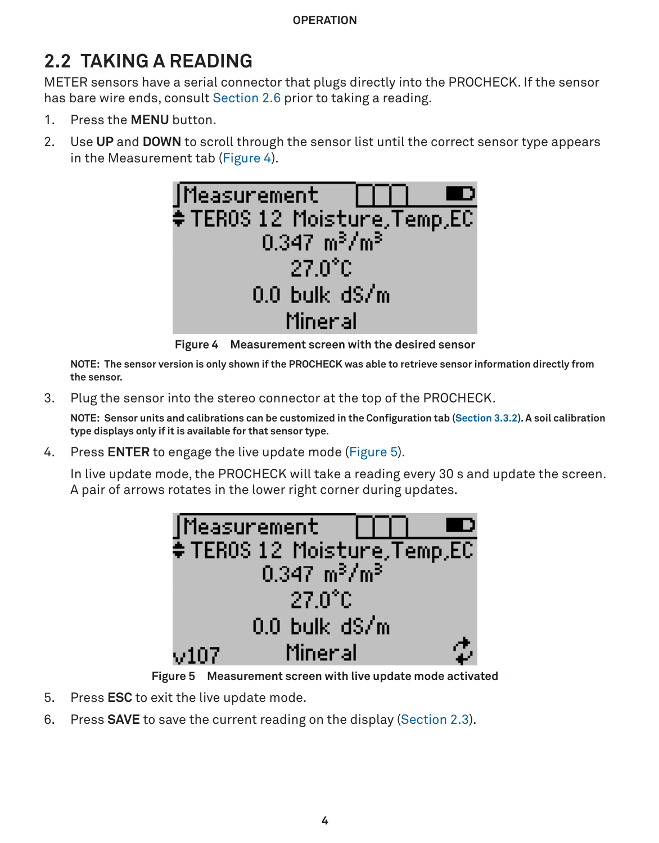**Operation**

# <span id="page-6-1"></span><span id="page-6-0"></span>**2.2 TAKING A READING**

METER sensors have a serial connector that plugs directly into the PROCHECK. If the sensor has bare wire ends, consult [Section 2.6](#page-8-1) prior to taking a reading.

- 1. Press the **MENU** button.
- 2. Use **UP** and **DOWN** to scroll through the sensor list until the correct sensor type appears in the Measurement tab [\(Figure 4](#page-6-2)).

<span id="page-6-2"></span>

**Figure 4 Measurement screen with the desired sensor**

**NOTE: The sensor version is only shown if the PROCHECK was able to retrieve sensor information directly from the sensor.**

3. Plug the sensor into the stereo connector at the top of the PROCHECK.

**NOTE: Sensor units and calibrations can be customized in the Configuration tab [\(Section 3.3.2\)](#page-14-1). A soil calibration type displays only if it is available for that sensor type.**

4. Press **ENTER** to engage the live update mode [\(Figure 5\)](#page-6-3).

In live update mode, the PROCHECK will take a reading every 30 s and update the screen. A pair of arrows rotates in the lower right corner during updates.

<span id="page-6-3"></span>

**Figure 5 Measurement screen with live update mode activated**

- 5. Press **ESC** to exit the live update mode.
- 6. Press **SAVE** to save the current reading on the display ([Section 2.3](#page-7-1)).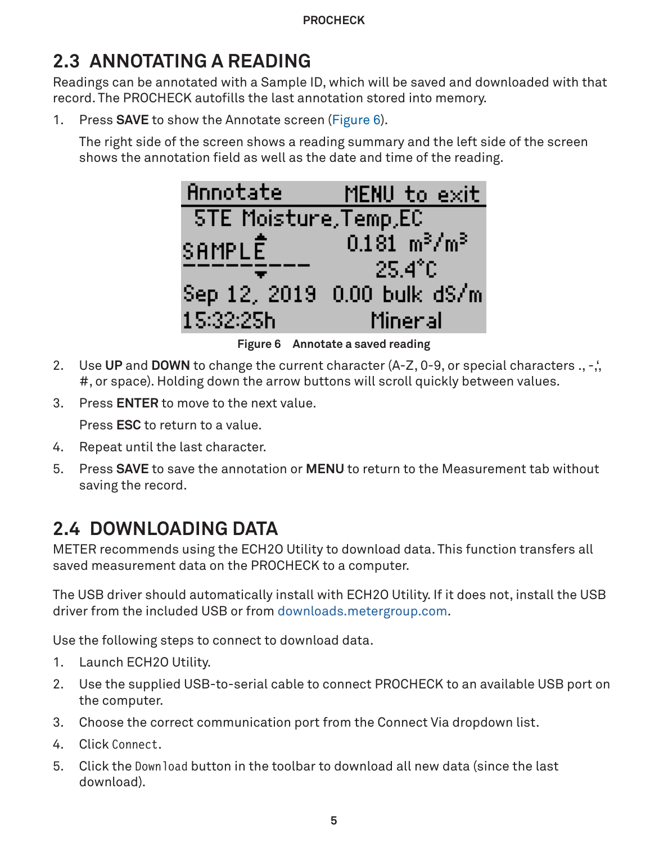# <span id="page-7-1"></span><span id="page-7-0"></span>**2.3 ANNOTATING A READING**

Readings can be annotated with a Sample ID, which will be saved and downloaded with that record. The PROCHECK autofills the last annotation stored into memory.

1. Press **SAVE** to show the Annotate screen ([Figure 6\)](#page-7-2).

The right side of the screen shows a reading summary and the left side of the screen shows the annotation field as well as the date and time of the reading.

<span id="page-7-2"></span>

**Figure 6 Annotate a saved reading**

- 2. Use **UP** and **DOWN** to change the current character (A-Z, 0-9, or special characters ., -,', #, or space). Holding down the arrow buttons will scroll quickly between values.
- 3. Press **ENTER** to move to the next value.

Press **ESC** to return to a value.

- 4. Repeat until the last character.
- 5. Press **SAVE** to save the annotation or **MENU** to return to the Measurement tab without saving the record.

# <span id="page-7-3"></span>**2.4 DOWNLOADING DATA**

METER recommends using the ECH2O Utility to download data. This function transfers all saved measurement data on the PROCHECK to a computer.

The USB driver should automatically install with ECH2O Utility. If it does not, install the USB driver from the included USB or from [downloads.metergroup.com.](mailto:https:///www.downloads.metergroup.com?subject=)

Use the following steps to connect to download data.

- 1. Launch ECH2O Utility.
- 2. Use the supplied USB-to-serial cable to connect PROCHECK to an available USB port on the computer.
- 3. Choose the correct communication port from the Connect Via dropdown list.
- 4. Click Connect.
- 5. Click the Download button in the toolbar to download all new data (since the last download).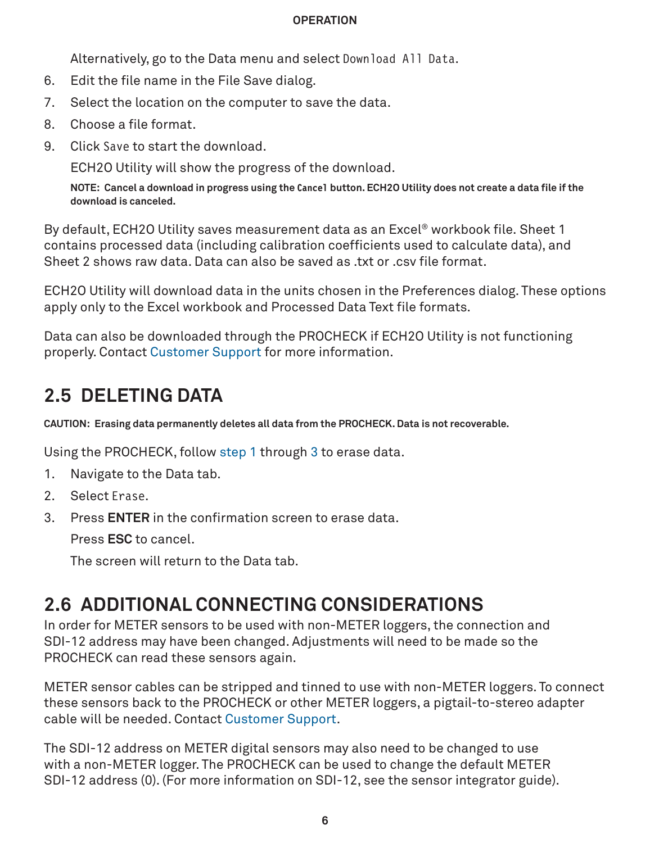#### **Operation**

Alternatively, go to the Data menu and select Download All Data.

- <span id="page-8-0"></span>6. Edit the file name in the File Save dialog.
- 7. Select the location on the computer to save the data.
- 8. Choose a file format.
- 9. Click Save to start the download.

ECH2O Utility will show the progress of the download.

**NOTE: Cancel a download in progress using the Cancel button. ECH2O Utility does not create a data file if the download is canceled.**

By default, ECH2O Utility saves measurement data as an Excel® workbook file. Sheet 1 contains processed data (including calibration coefficients used to calculate data), and Sheet 2 shows raw data. Data can also be saved as txt or .csv file format.

ECH2O Utility will download data in the units chosen in the Preferences dialog. These options apply only to the Excel workbook and Processed Data Text file formats.

Data can also be downloaded through the PROCHECK if ECH2O Utility is not functioning properly. Contact [Customer Support](#page-26-1) for more information.

# <span id="page-8-4"></span>**2.5 DELETING DATA**

**CAUTION: Erasing data permanently deletes all data from the PROCHECK. Data is not recoverable.**

Using the PROCHECK, follow [step 1](#page-8-2) through [3](#page-8-3) to erase data.

- <span id="page-8-2"></span>1. Navigate to the Data tab.
- 2. Select Erase.
- 3. Press **ENTER** in the confirmation screen to erase data.

<span id="page-8-3"></span>Press **ESC** to cancel.

<span id="page-8-1"></span>The screen will return to the Data tab.

# **2.6 ADDITIONAL CONNECTING CONSIDERATIONS**

In order for METER sensors to be used with non-METER loggers, the connection and SDI-12 address may have been changed. Adjustments will need to be made so the PROCHECK can read these sensors again.

METER sensor cables can be stripped and tinned to use with non-METER loggers. To connect these sensors back to the PROCHECK or other METER loggers, a pigtail-to-stereo adapter cable will be needed. Contact [Customer Support.](#page-26-1)

The SDI-12 address on METER digital sensors may also need to be changed to use with a non-METER logger. The PROCHECK can be used to change the default METER SDI-12 address (0). (For more information on SDI-12, see the sensor integrator guide).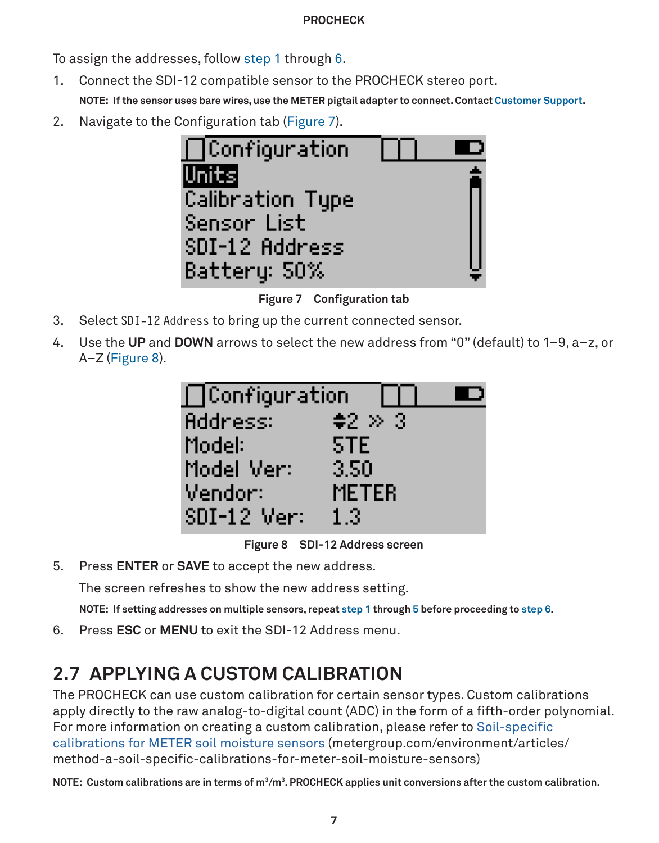<span id="page-9-6"></span>To assign the addresses, follow [step 1](#page-4-2) through [6.](#page-9-0)

1. Connect the SDI-12 compatible sensor to the PROCHECK stereo port.

<span id="page-9-3"></span>**NOTE: If the sensor uses bare wires, use the METER pigtail adapter to connect. Contact [Customer Support.](#page-26-1)**

2. Navigate to the Configuration tab ([Figure 7](#page-9-1)).



**Figure 7 Configuration tab**

- 3. Select SDI-12 Address to bring up the current connected sensor.
- 4. Use the **UP** and **DOWN** arrows to select the new address from "0" (default) to 1–9, a–z, or A–Z [\(Figure 8\)](#page-9-2).

<span id="page-9-2"></span><span id="page-9-1"></span>

**Figure 8 SDI-12 Address screen**

5. Press **ENTER** or **SAVE** to accept the new address.

<span id="page-9-4"></span>The screen refreshes to show the new address setting.

<span id="page-9-0"></span>**NOTE: If setting addresses on multiple sensors, repeat [step 1](#page-9-3) through [5](#page-9-4) before proceeding to [step 6](#page-9-0).**

6. Press **ESC** or **MENU** to exit the SDI-12 Address menu.

# <span id="page-9-5"></span>**2.7 APPLYING A CUSTOM CALIBRATION**

The PROCHECK can use custom calibration for certain sensor types. Custom calibrations apply directly to the raw analog-to-digital count (ADC) in the form of a fifth-order polynomial. For more information on creating a custom calibration, please refer to [Soil-specific](mailto:https://www.metergroup.com/environment/articles/method-a-soil-specific-calibrations-for-meter-soil-moisture-sensors/?subject=)  [calibrations for METER soil moisture sensors](mailto:https://www.metergroup.com/environment/articles/method-a-soil-specific-calibrations-for-meter-soil-moisture-sensors/?subject=) ([metergroup.com/environment/articles/](mailto:?subject=) [method-a-soil-specific-calibrations-for-meter-soil-moisture-sensors](mailto:?subject=))

**NOTE: Custom calibrations are in terms of m3/m3 . PROCHECK applies unit conversions after the custom calibration.**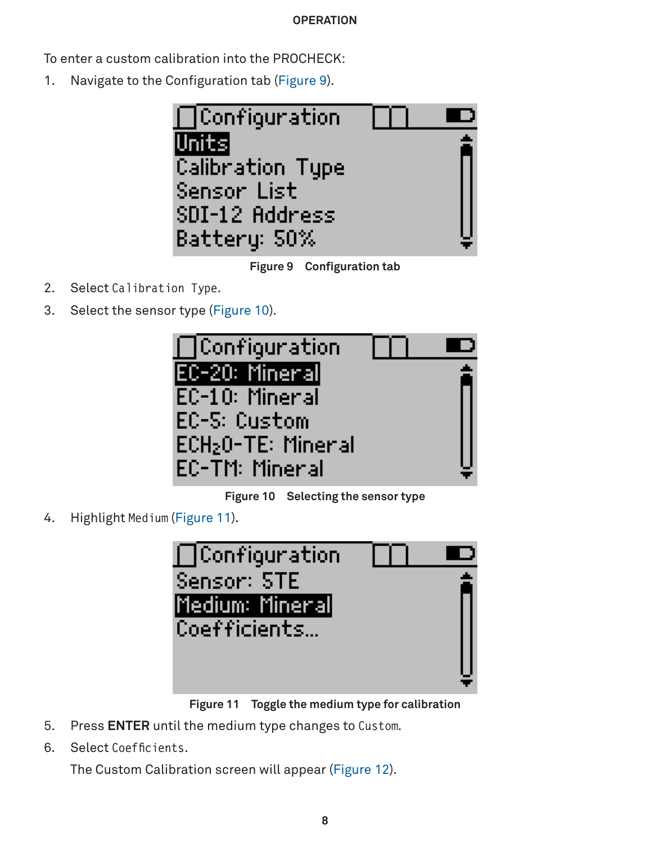<span id="page-10-0"></span>To enter a custom calibration into the PROCHECK:

1. Navigate to the Configuration tab ([Figure 9](#page-10-1)).



**Figure 9 Configuration tab**

- 2. Select Calibration Type.
- 3. Select the sensor type [\(Figure 10\)](#page-10-2).

<span id="page-10-1"></span>

**Figure 10 Selecting the sensor type**

4. Highlight Medium ([Figure 11\)](#page-10-3).

<span id="page-10-3"></span><span id="page-10-2"></span>

**Figure 11 Toggle the medium type for calibration**

- 5. Press **ENTER** until the medium type changes to Custom.
- 6. Select Coefficients.

The Custom Calibration screen will appear ([Figure 12](#page-11-0)).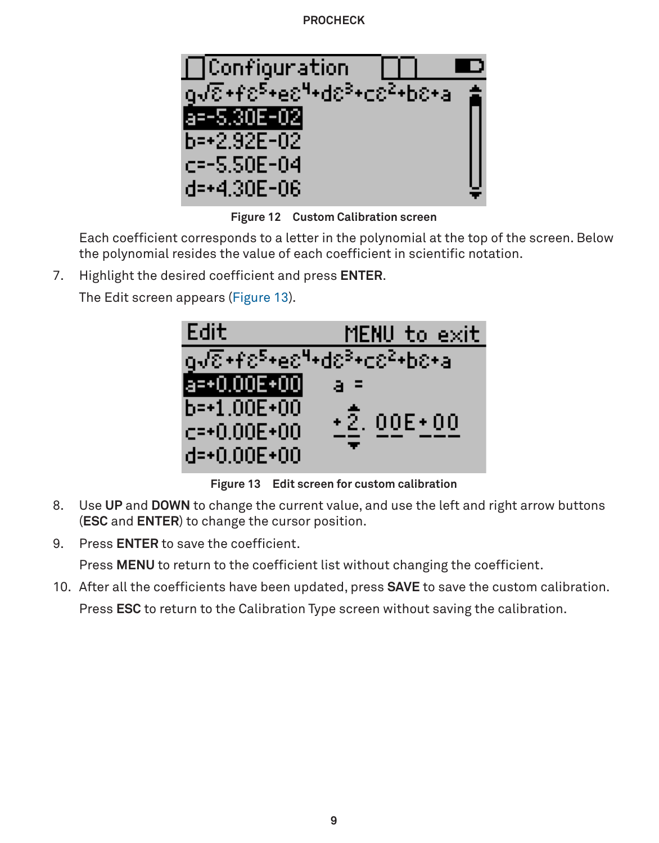<span id="page-11-2"></span>

**Figure 12 Custom Calibration screen**

Each coefficient corresponds to a letter in the polynomial at the top of the screen. Below the polynomial resides the value of each coefficient in scientific notation.

7. Highlight the desired coefficient and press **ENTER**.

The Edit screen appears ([Figure 13](#page-11-1)).

<span id="page-11-1"></span><span id="page-11-0"></span>

**Figure 13 Edit screen for custom calibration**

- 8. Use **UP** and **DOWN** to change the current value, and use the left and right arrow buttons (**ESC** and **ENTER**) to change the cursor position.
- 9. Press **ENTER** to save the coefficient.

Press **MENU** to return to the coefficient list without changing the coefficient.

10. After all the coefficients have been updated, press **SAVE** to save the custom calibration.

Press **ESC** to return to the Calibration Type screen without saving the calibration.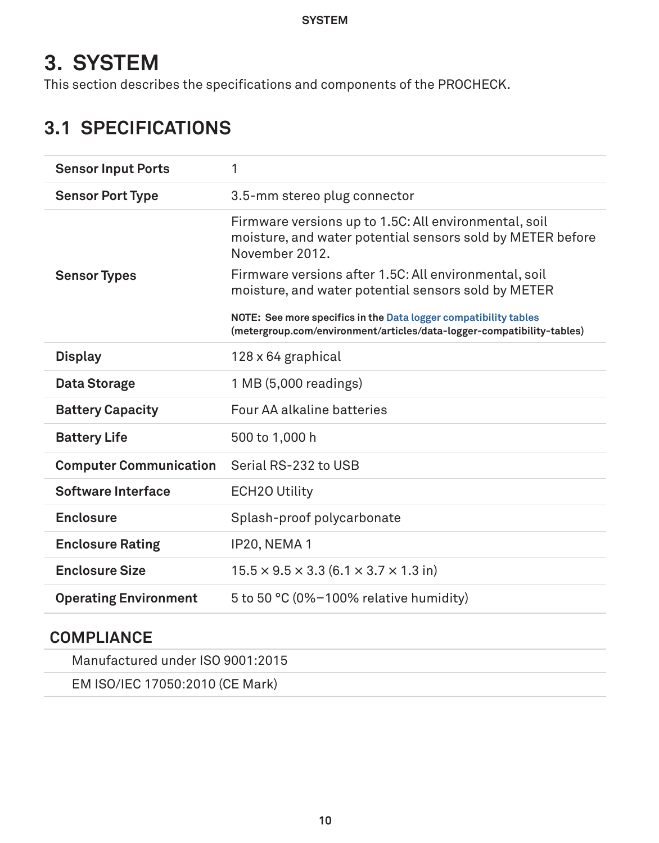# <span id="page-12-0"></span>**3. SYSTEM**

This section describes the specifications and components of the PROCHECK.

# **3.1 SPECIFICATIONS**

| <b>Sensor Input Ports</b>     | 1                                                                                                                                          |
|-------------------------------|--------------------------------------------------------------------------------------------------------------------------------------------|
| <b>Sensor Port Type</b>       | 3.5-mm stereo plug connector                                                                                                               |
|                               | Firmware versions up to 1.5C: All environmental, soil<br>moisture, and water potential sensors sold by METER before<br>November 2012.      |
| <b>Sensor Types</b>           | Firmware versions after 1.5C: All environmental, soil<br>moisture, and water potential sensors sold by METER                               |
|                               | NOTE: See more specifics in the Data logger compatibility tables<br>(metergroup.com/environment/articles/data-logger-compatibility-tables) |
| <b>Display</b>                | 128 x 64 graphical                                                                                                                         |
| Data Storage                  | 1 MB (5,000 readings)                                                                                                                      |
| <b>Battery Capacity</b>       | Four AA alkaline batteries                                                                                                                 |
| <b>Battery Life</b>           | 500 to 1,000 h                                                                                                                             |
| <b>Computer Communication</b> | Serial RS-232 to USB                                                                                                                       |
| Software Interface            | ECH <sub>20</sub> Utility                                                                                                                  |
| Enclosure                     | Splash-proof polycarbonate                                                                                                                 |
| <b>Enclosure Rating</b>       | IP20, NEMA 1                                                                                                                               |
| <b>Enclosure Size</b>         | $15.5 \times 9.5 \times 3.3$ (6.1 $\times$ 3.7 $\times$ 1.3 in)                                                                            |
| <b>Operating Environment</b>  | 5 to 50 $\degree$ C (0%-100% relative humidity)                                                                                            |

# **COMPLIANCE**

Manufactured under ISO 9001:2015

EM ISO/IEC 17050:2010 (CE Mark)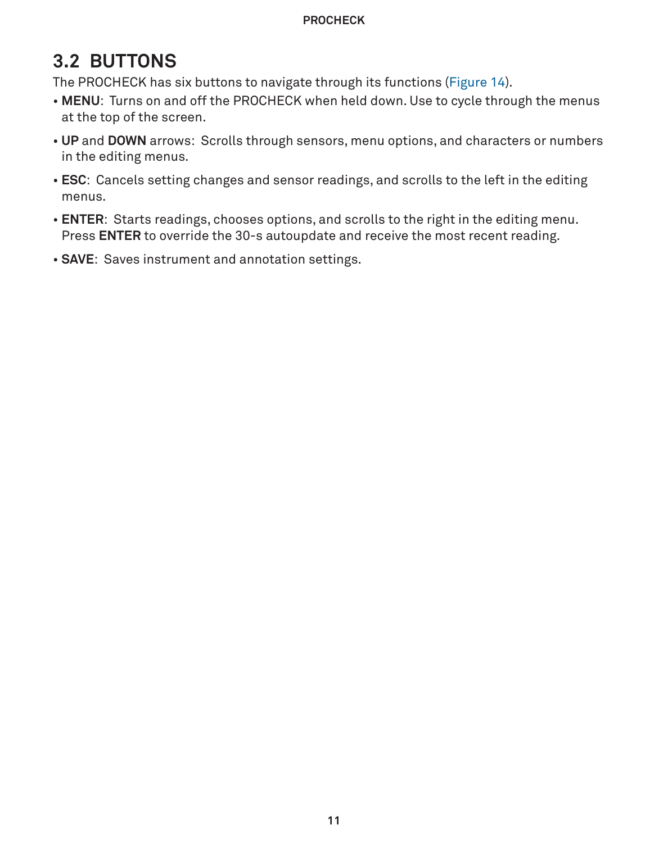# <span id="page-13-0"></span>**3.2 BUTTONS**

The PROCHECK has six buttons to navigate through its functions ([Figure 14](#page-14-2)).

- **MENU**: Turns on and off the PROCHECK when held down. Use to cycle through the menus at the top of the screen.
- **UP** and **DOWN** arrows: Scrolls through sensors, menu options, and characters or numbers in the editing menus.
- **ESC**: Cancels setting changes and sensor readings, and scrolls to the left in the editing menus.
- **ENTER**: Starts readings, chooses options, and scrolls to the right in the editing menu. Press **ENTER** to override the 30-s autoupdate and receive the most recent reading.
- **SAVE**: Saves instrument and annotation settings.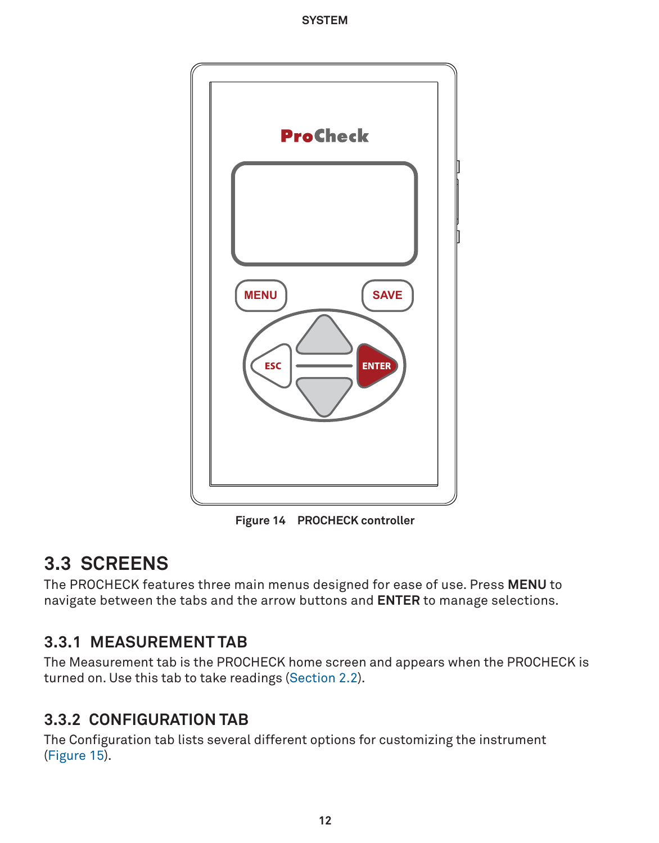<span id="page-14-0"></span>

<span id="page-14-2"></span>**Figure 14 PROCHECK controller**

# **3.3 SCREENS**

The PROCHECK features three main menus designed for ease of use. Press **MENU** to navigate between the tabs and the arrow buttons and **ENTER** to manage selections.

# **3.3.1 MEASUREMENT TAB**

The Measurement tab is the PROCHECK home screen and appears when the PROCHECK is turned on. Use this tab to take readings ([Section 2.2](#page-6-1)).

# <span id="page-14-1"></span>**3.3.2 CONFIGURATION TAB**

The Configuration tab lists several different options for customizing the instrument ([Figure 15](#page-15-1)).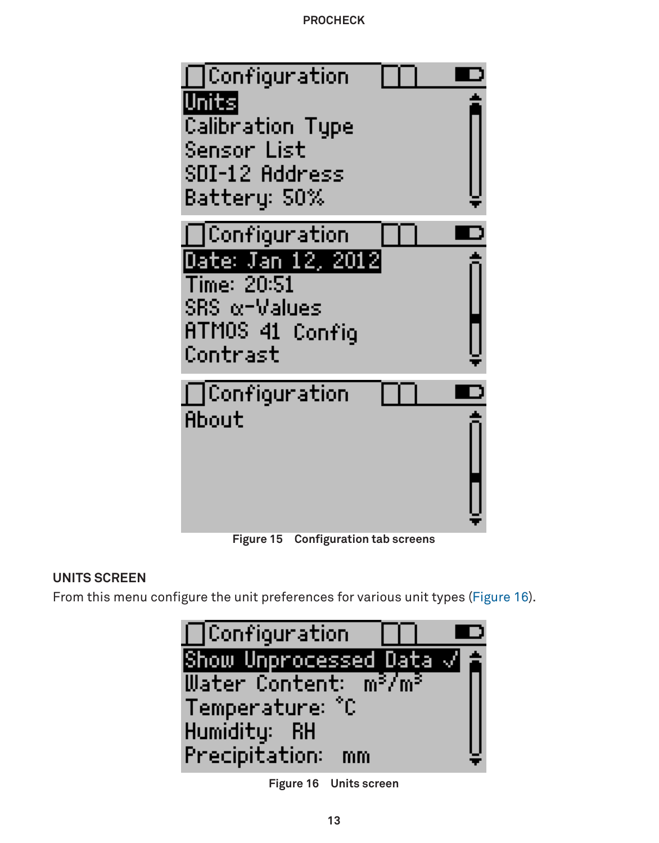<span id="page-15-0"></span>

<span id="page-15-2"></span><span id="page-15-1"></span>**Figure 15 Configuration tab screens**

# **UNITS SCREEN**

From this menu configure the unit preferences for various unit types ([Figure 16](#page-15-2)).



**Figure 16 Units screen**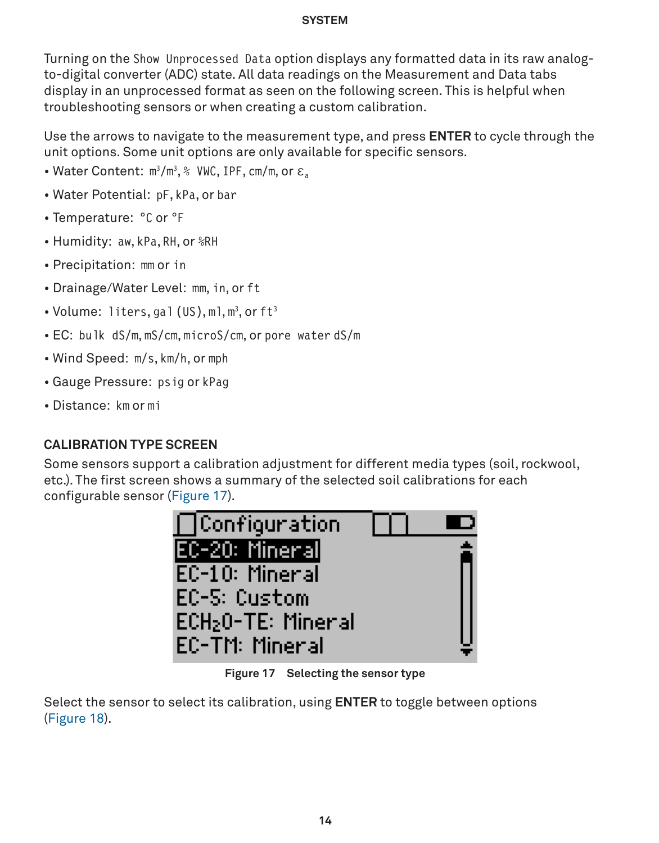<span id="page-16-1"></span>Turning on the Show Unprocessed Data option displays any formatted data in its raw analogto-digital converter (ADC) state. All data readings on the Measurement and Data tabs display in an unprocessed format as seen on the following screen. This is helpful when troubleshooting sensors or when creating a custom calibration.

Use the arrows to navigate to the measurement type, and press **ENTER** to cycle through the unit options. Some unit options are only available for specific sensors.

- Water Content: m3 /m3 , % VWC, IPF, cm/m, or **εa**
- Water Potential: pF, kPa, or bar
- Temperature: °C or °F
- Humidity: aw, kPa, RH, or %RH
- Precipitation: mm or in
- Drainage/Water Level: mm, in, or ft
- $\bullet$  Volume: liters,gal (US),ml,m $^3$ ,orft $^3$
- EC: bulk dS/m, mS/cm, microS/cm, or pore water dS/m
- Wind Speed: m/s, km/h, or mph
- Gauge Pressure: psig or kPag
- Distance: km or mi

### **CALIBRATION TYPE SCREEN**

Some sensors support a calibration adjustment for different media types (soil, rockwool, etc.). The first screen shows a summary of the selected soil calibrations for each configurable sensor [\(Figure 17](#page-16-0)).

<span id="page-16-0"></span>

**Figure 17 Selecting the sensor type**

Select the sensor to select its calibration, using **ENTER** to toggle between options ([Figure 18](#page-17-0)).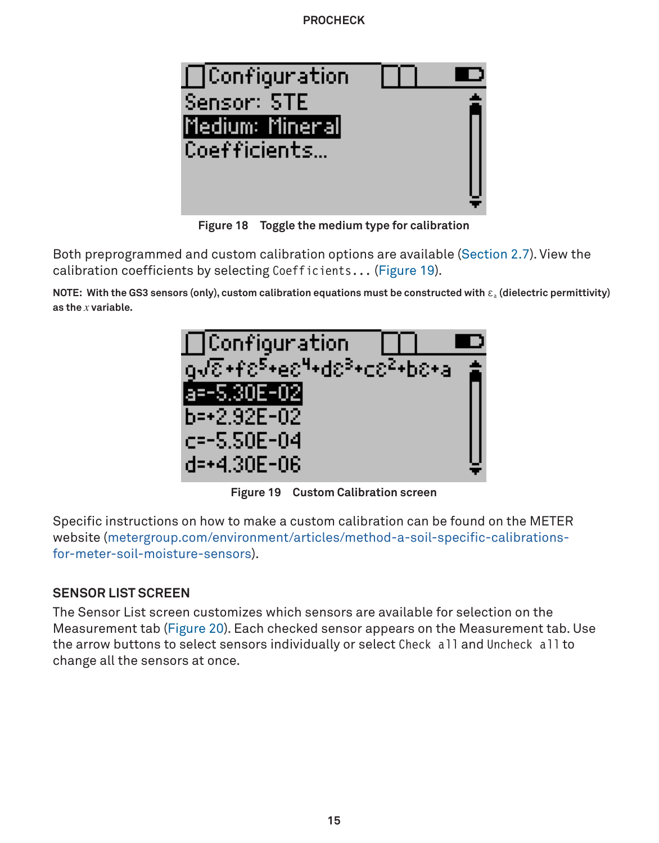<span id="page-17-2"></span>

**Figure 18 Toggle the medium type for calibration**

Both preprogrammed and custom calibration options are available [\(Section 2.7\)](#page-9-5). View the calibration coefficients by selecting Coefficients... [\(Figure 19\)](#page-17-1).

**NOTE:** With the GS3 sensors (only), custom calibration equations must be constructed with ε<sub>a</sub> (dielectric permittivity) **as the** *x* **variable.**

<span id="page-17-1"></span><span id="page-17-0"></span>

**Figure 19 Custom Calibration screen**

Specific instructions on how to make a custom calibration can be found on the METER website [\(metergroup.com/environment/articles/method-a-soil-specific-calibrations](mailto:https://www.metergroup.com/environment/articles/method-a-soil-specific-calibrations-for-meter-soil-moisture-sensors/?subject=)[for-meter-soil-moisture-sensors\)](mailto:https://www.metergroup.com/environment/articles/method-a-soil-specific-calibrations-for-meter-soil-moisture-sensors/?subject=).

### **SENSOR LIST SCREEN**

The Sensor List screen customizes which sensors are available for selection on the Measurement tab [\(Figure 20\)](#page-18-0). Each checked sensor appears on the Measurement tab. Use the arrow buttons to select sensors individually or select Check all and Uncheck all to change all the sensors at once.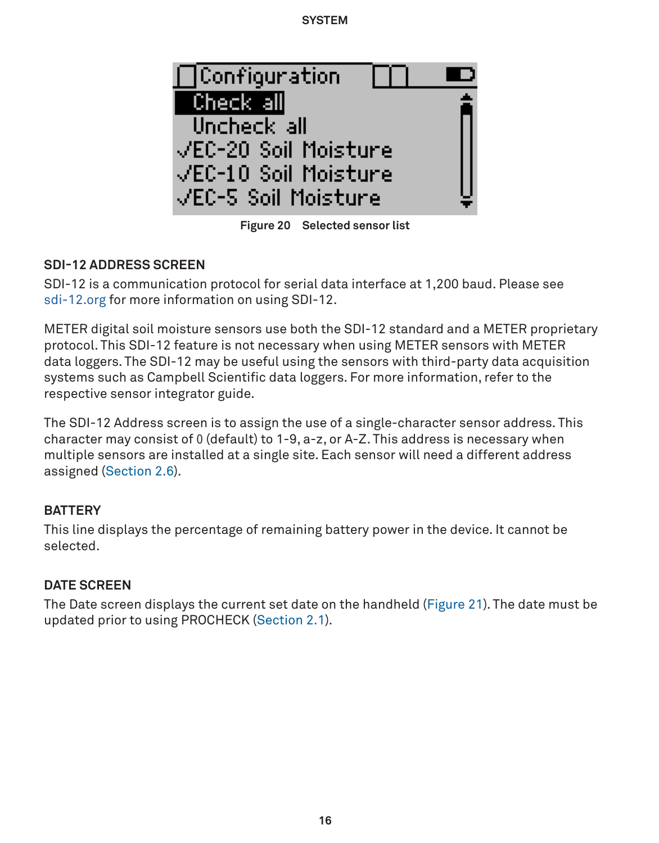<span id="page-18-1"></span><span id="page-18-0"></span>

**Figure 20 Selected sensor list**

### **SDI-12 ADDRESS SCREEN**

SDI-12 is a communication protocol for serial data interface at 1,200 baud. Please see [sdi-12.org](mailto:https://www.sdi-12.org?subject=) for more information on using SDI-12.

METER digital soil moisture sensors use both the SDI-12 standard and a METER proprietary protocol. This SDI-12 feature is not necessary when using METER sensors with METER data loggers. The SDI-12 may be useful using the sensors with third-party data acquisition systems such as Campbell Scientific data loggers. For more information, refer to the respective sensor integrator guide.

The SDI-12 Address screen is to assign the use of a single-character sensor address. This character may consist of 0 (default) to 1-9, a-z, or A-Z. This address is necessary when multiple sensors are installed at a single site. Each sensor will need a different address assigned [\(Section 2.6\)](#page-8-1).

### **BATTERY**

This line displays the percentage of remaining battery power in the device. It cannot be selected.

### **DATE SCREEN**

The Date screen displays the current set date on the handheld ([Figure 21\)](#page-19-0). The date must be updated prior to using PROCHECK [\(Section 2.1\)](#page-4-3).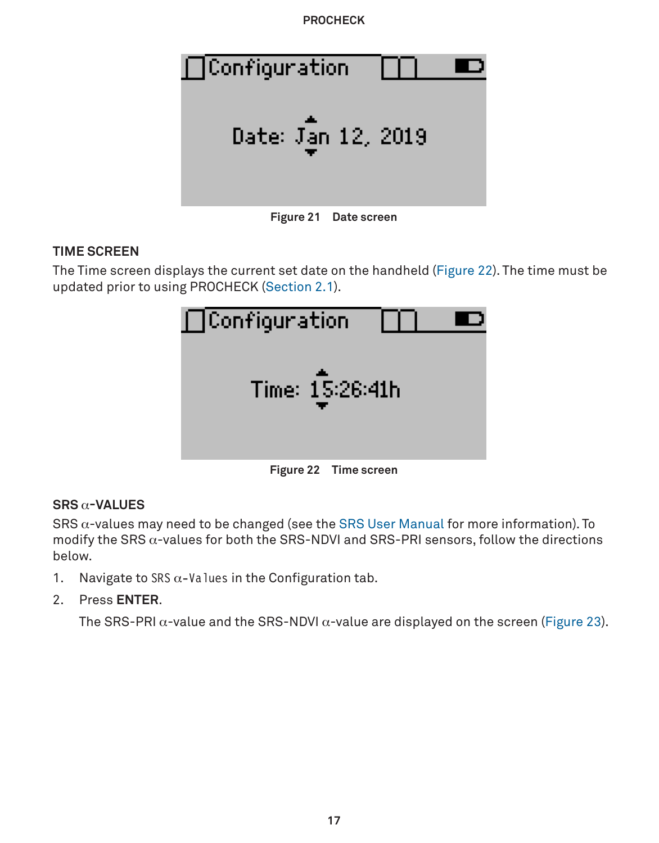<span id="page-19-2"></span>

**Figure 21 Date screen**

### **TIME SCREEN**

The Time screen displays the current set date on the handheld [\(Figure 22](#page-19-1)). The time must be updated prior to using PROCHECK [\(Section 2.1\)](#page-4-3).

<span id="page-19-1"></span><span id="page-19-0"></span>

| $\bigcap$ Configuration |  |
|-------------------------|--|
| Time: 15:26:41h         |  |
| Figure 22 Time screen   |  |

### **SRS** α**-VALUES**

SRS  $\alpha$ -values may need to be changed (see the [SRS User Manual](https://www.metergroup.com/srs-support) for more information). To modify the SRS α-values for both the SRS-NDVI and SRS-PRI sensors, follow the directions below.

- 1. Navigate to SRS  $\alpha$ -Values in the Configuration tab.
- 2. Press **ENTER**.

The SRS-PRI  $\alpha$ -value and the SRS-NDVI  $\alpha$ -value are displayed on the screen [\(Figure 23\)](#page-20-0).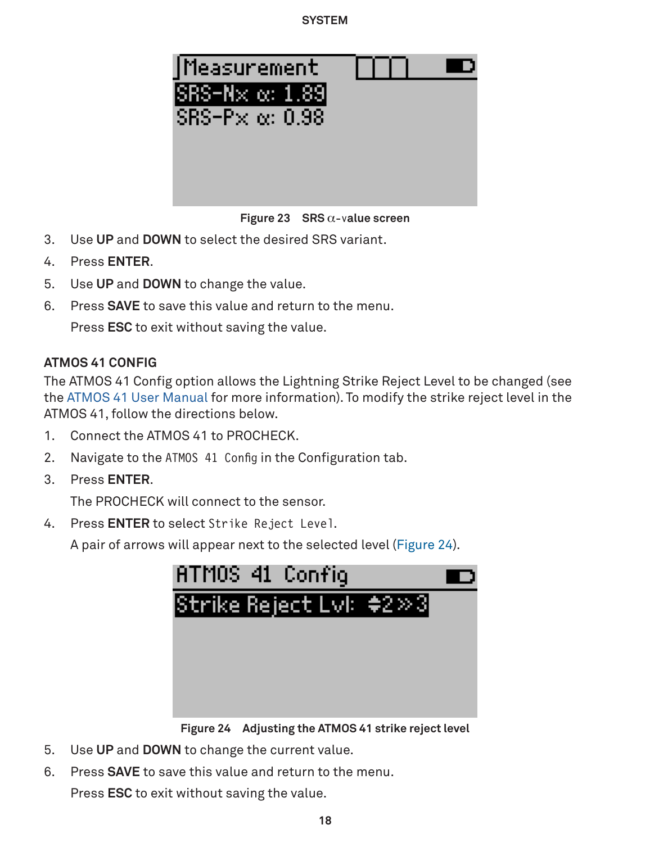<span id="page-20-2"></span><span id="page-20-0"></span>

**Figure 23 SRS** α-v**alue screen**

- 3. Use **UP** and **DOWN** to select the desired SRS variant.
- 4. Press **ENTER**.
- 5. Use **UP** and **DOWN** to change the value.
- 6. Press **SAVE** to save this value and return to the menu.

Press **ESC** to exit without saving the value.

### **ATMOS 41 CONFIG**

The ATMOS 41 Config option allows the Lightning Strike Reject Level to be changed (see the [ATMOS 41 User Manual](http://metergroup.com/atmos41-support) for more information). To modify the strike reject level in the ATMOS 41, follow the directions below.

- 1. Connect the ATMOS 41 to PROCHECK.
- 2. Navigate to the ATMOS 41 Config in the Configuration tab.
- 3. Press **ENTER**.

The PROCHECK will connect to the sensor.

4. Press **ENTER** to select Strike Reject Level.

A pair of arrows will appear next to the selected level ([Figure 24](#page-20-1)).

<span id="page-20-1"></span>

**Figure 24 Adjusting the ATMOS 41 strike reject level**

- 5. Use **UP** and **DOWN** to change the current value.
- 6. Press **SAVE** to save this value and return to the menu. Press **ESC** to exit without saving the value.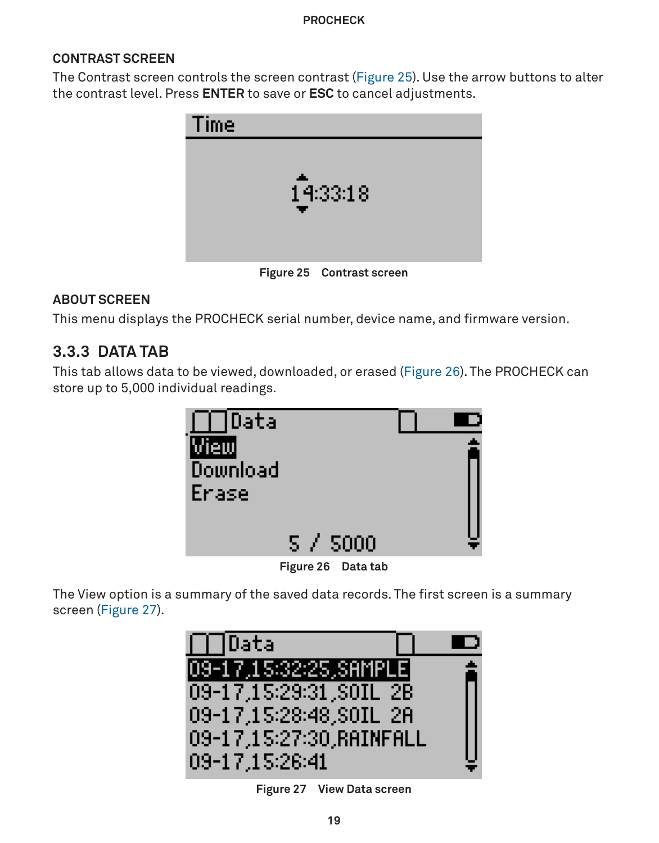### <span id="page-21-0"></span>**CONTRAST SCREEN**

The Contrast screen controls the screen contrast [\(Figure 25\)](#page-21-1). Use the arrow buttons to alter the contrast level. Press **ENTER** to save or **ESC** to cancel adjustments.



**Figure 25 Contrast screen**

### **ABOUT SCREEN**

This menu displays the PROCHECK serial number, device name, and firmware version.

## **3.3.3 DATA TAB**

This tab allows data to be viewed, downloaded, or erased ([Figure 26](#page-21-2)). The PROCHECK can store up to 5,000 individual readings.

<span id="page-21-1"></span>

<span id="page-21-3"></span><span id="page-21-2"></span>**Figure 26 Data tab**

The View option is a summary of the saved data records. The first screen is a summary screen ([Figure 27](#page-21-3)).



**Figure 27 View Data screen**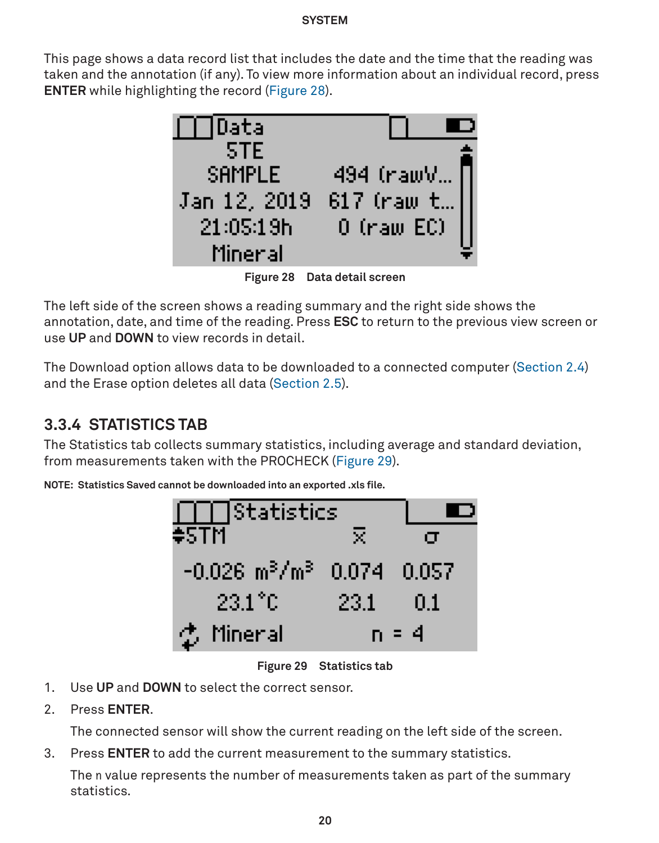<span id="page-22-0"></span>This page shows a data record list that includes the date and the time that the reading was taken and the annotation (if any). To view more information about an individual record, press **ENTER** while highlighting the record ([Figure 28](#page-22-1)).

<span id="page-22-1"></span>

**Figure 28 Data detail screen**

The left side of the screen shows a reading summary and the right side shows the annotation, date, and time of the reading. Press **ESC** to return to the previous view screen or use **UP** and **DOWN** to view records in detail.

The Download option allows data to be downloaded to a connected computer ([Section 2.4](#page-7-3)) and the Erase option deletes all data ([Section 2.5](#page-8-4)).

# **3.3.4 STATISTICS TAB**

The Statistics tab collects summary statistics, including average and standard deviation, from measurements taken with the PROCHECK [\(Figure 29\)](#page-22-2).

**NOTE: Statistics Saved cannot be downloaded into an exported .xls file.**



<span id="page-22-2"></span>**Figure 29 Statistics tab**

- 1. Use **UP** and **DOWN** to select the correct sensor.
- 2. Press **ENTER**.

The connected sensor will show the current reading on the left side of the screen.

3. Press **ENTER** to add the current measurement to the summary statistics.

The n value represents the number of measurements taken as part of the summary statistics.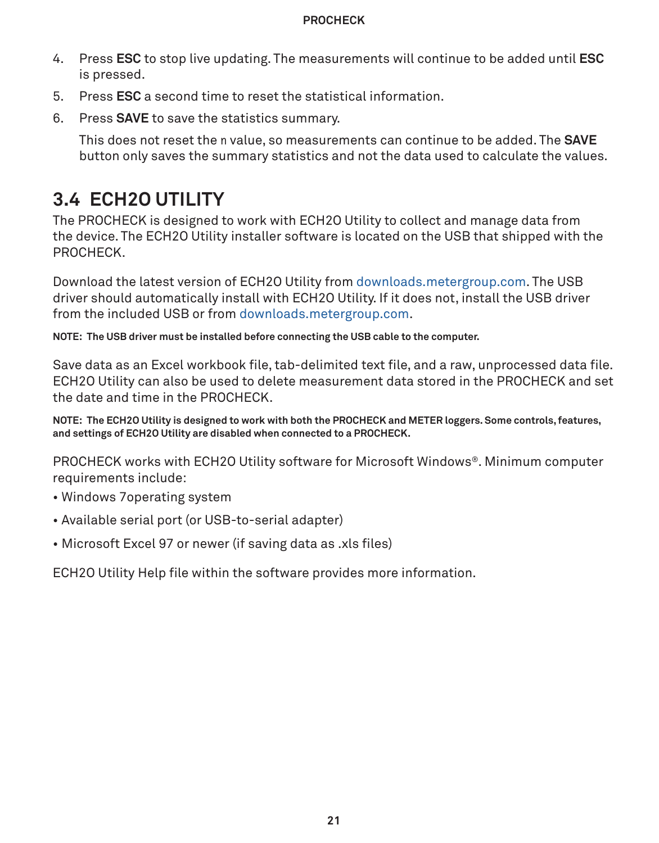- <span id="page-23-0"></span>4. Press **ESC** to stop live updating. The measurements will continue to be added until **ESC** is pressed.
- 5. Press **ESC** a second time to reset the statistical information.
- 6. Press **SAVE** to save the statistics summary.

<span id="page-23-1"></span>This does not reset the n value, so measurements can continue to be added. The **SAVE** button only saves the summary statistics and not the data used to calculate the values.

# **3.4 ECH2O UTILITY**

The PROCHECK is designed to work with ECH2O Utility to collect and manage data from the device. The ECH2O Utility installer software is located on the USB that shipped with the PROCHECK.

Download the latest version of ECH2O Utility from [downloads.metergroup.com](mailto:https://www.downloads.metergroup.com?subject=). The USB driver should automatically install with ECH2O Utility. If it does not, install the USB driver from the included USB or from [downloads.metergroup.com](mailto:https://www.downloads.metergroup.com?subject=).

**NOTE: The USB driver must be installed before connecting the USB cable to the computer.**

Save data as an Excel workbook file, tab-delimited text file, and a raw, unprocessed data file. ECH2O Utility can also be used to delete measurement data stored in the PROCHECK and set the date and time in the PROCHECK.

**NOTE: The ECH2O Utility is designed to work with both the PROCHECK and METER loggers. Some controls, features, and settings of ECH2O Utility are disabled when connected to a PROCHECK.**

PROCHECK works with ECH2O Utility software for Microsoft Windows®. Minimum computer requirements include:

- Windows 7operating system
- Available serial port (or USB-to-serial adapter)
- Microsoft Excel 97 or newer (if saving data as .xls files)

ECH2O Utility Help file within the software provides more information.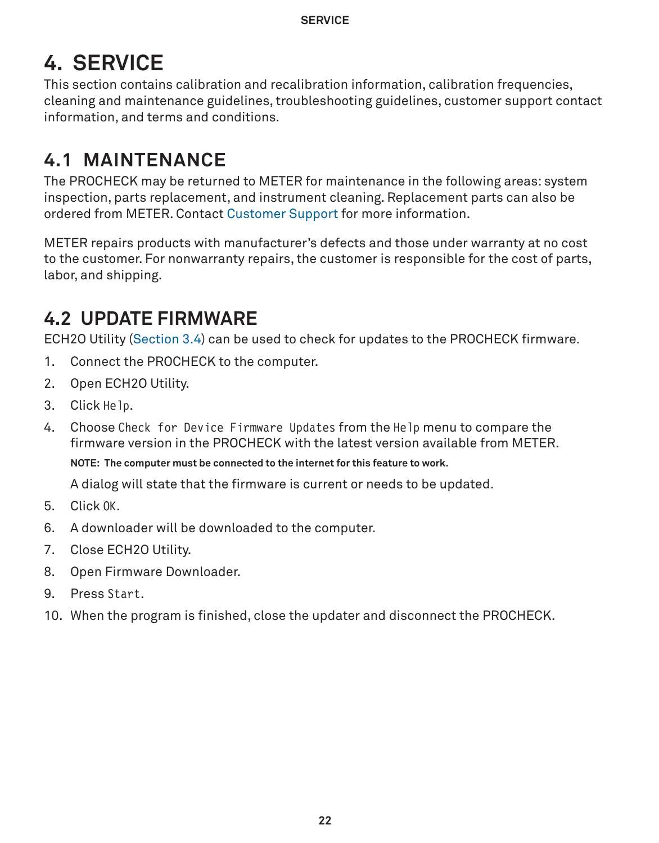# <span id="page-24-1"></span><span id="page-24-0"></span>**4. SERVICE**

This section contains calibration and recalibration information, calibration frequencies, cleaning and maintenance guidelines, troubleshooting guidelines, customer support contact information, and terms and conditions.

# **4.1 MAINTENANCE**

The PROCHECK may be returned to METER for maintenance in the following areas: system inspection, parts replacement, and instrument cleaning. Replacement parts can also be ordered from METER. Contact [Customer Support](#page-26-1) for more information.

METER repairs products with manufacturer's defects and those under warranty at no cost to the customer. For nonwarranty repairs, the customer is responsible for the cost of parts, labor, and shipping.

# **4.2 UPDATE FIRMWARE**

ECH2O Utility ([Section 3.4](#page-23-1)) can be used to check for updates to the PROCHECK firmware.

- 1. Connect the PROCHECK to the computer.
- 2. Open ECH2O Utility.
- 3. Click Help.
- 4. Choose Check for Device Firmware Updates from the Help menu to compare the firmware version in the PROCHECK with the latest version available from METER. **NOTE: The computer must be connected to the internet for this feature to work.**

A dialog will state that the firmware is current or needs to be updated.

- 5. Click OK.
- 6. A downloader will be downloaded to the computer.
- 7. Close ECH2O Utility.
- 8. Open Firmware Downloader.
- 9. Press Start.
- 10. When the program is finished, close the updater and disconnect the PROCHECK.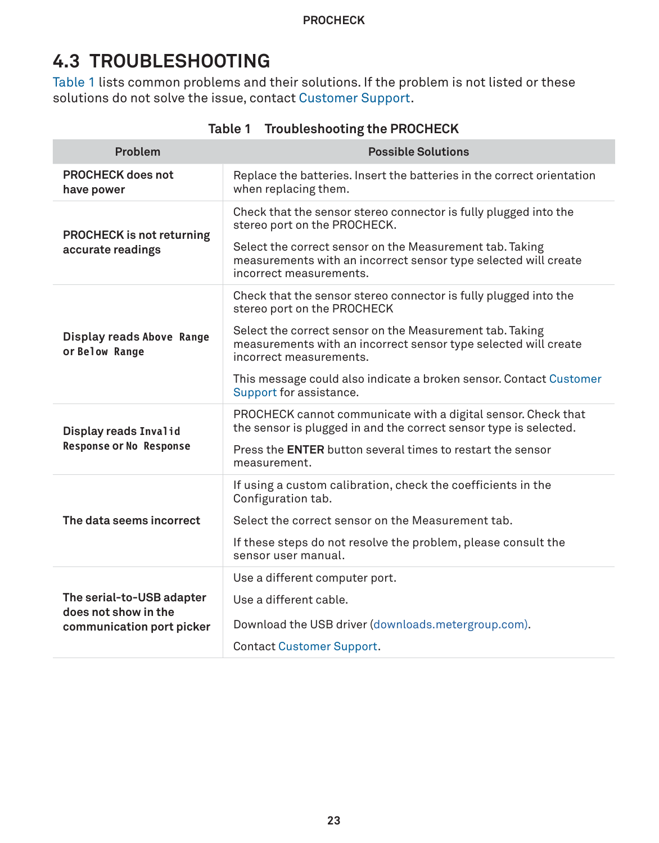# <span id="page-25-0"></span>**4.3 TROUBLESHOOTING**

[Table 1](#page-25-1) lists common problems and their solutions. If the problem is not listed or these solutions do not solve the issue, contact [Customer Support](#page-26-1).

| Problem                                                                        | <b>Possible Solutions</b>                                                                                                                                                                                                                                                                                                                                  |
|--------------------------------------------------------------------------------|------------------------------------------------------------------------------------------------------------------------------------------------------------------------------------------------------------------------------------------------------------------------------------------------------------------------------------------------------------|
| PROCHECK does not<br>have power                                                | Replace the batteries. Insert the batteries in the correct orientation<br>when replacing them.                                                                                                                                                                                                                                                             |
| <b>PROCHECK</b> is not returning<br>accurate readings                          | Check that the sensor stereo connector is fully plugged into the<br>stereo port on the PROCHECK.<br>Select the correct sensor on the Measurement tab. Taking<br>measurements with an incorrect sensor type selected will create<br>incorrect measurements.                                                                                                 |
| Display reads Above Range<br>or Below Range                                    | Check that the sensor stereo connector is fully plugged into the<br>stereo port on the PROCHECK<br>Select the correct sensor on the Measurement tab. Taking<br>measurements with an incorrect sensor type selected will create<br>incorrect measurements.<br>This message could also indicate a broken sensor. Contact Customer<br>Support for assistance. |
| Display reads Invalid<br><b>Response or No Response</b>                        | PROCHECK cannot communicate with a digital sensor. Check that<br>the sensor is plugged in and the correct sensor type is selected.<br>Press the <b>ENTER</b> button several times to restart the sensor<br>measurement.                                                                                                                                    |
| The data seems incorrect                                                       | If using a custom calibration, check the coefficients in the<br>Configuration tab.<br>Select the correct sensor on the Measurement tab.<br>If these steps do not resolve the problem, please consult the<br>sensor user manual.                                                                                                                            |
| The serial-to-USB adapter<br>does not show in the<br>communication port picker | Use a different computer port.<br>Use a different cable.<br>Download the USB driver (downloads.metergroup.com).<br><b>Contact Customer Support.</b>                                                                                                                                                                                                        |

<span id="page-25-1"></span>**Table 1 Troubleshooting the PROCHECK**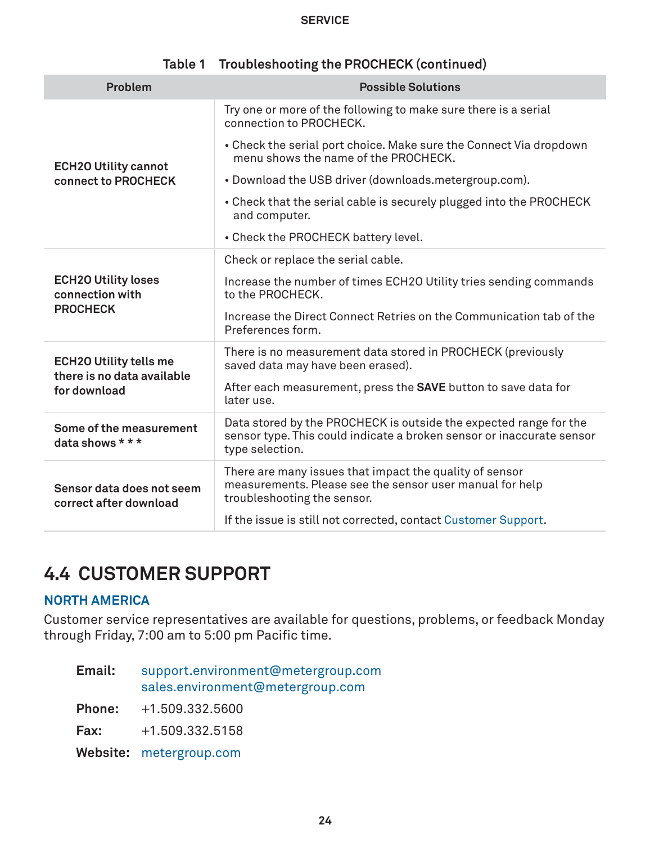#### **Service**

<span id="page-26-0"></span>

| Problem                                                     | <b>Possible Solutions</b>                                                                                                                                     |
|-------------------------------------------------------------|---------------------------------------------------------------------------------------------------------------------------------------------------------------|
|                                                             | Try one or more of the following to make sure there is a serial<br>connection to PROCHECK.                                                                    |
| <b>ECH2O Utility cannot</b>                                 | • Check the serial port choice. Make sure the Connect Via dropdown<br>menu shows the name of the PROCHECK.                                                    |
| connect to PROCHECK                                         | • Download the USB driver (downloads.metergroup.com).                                                                                                         |
|                                                             | • Check that the serial cable is securely plugged into the PROCHECK<br>and computer.                                                                          |
|                                                             | • Check the PROCHECK battery level.                                                                                                                           |
|                                                             | Check or replace the serial cable.                                                                                                                            |
| <b>ECH2O Utility loses</b><br>connection with               | Increase the number of times ECH2O Utility tries sending commands<br>to the PROCHECK.                                                                         |
| <b>PROCHECK</b>                                             | Increase the Direct Connect Retries on the Communication tab of the<br>Preferences form.                                                                      |
| <b>ECH2O Utility tells me</b><br>there is no data available | There is no measurement data stored in PROCHECK (previously<br>saved data may have been erased).                                                              |
| for download                                                | After each measurement, press the <b>SAVE</b> button to save data for<br>later use.                                                                           |
| Some of the measurement<br>data shows $***$                 | Data stored by the PROCHECK is outside the expected range for the<br>sensor type. This could indicate a broken sensor or inaccurate sensor<br>type selection. |
| Sensor data does not seem<br>correct after download         | There are many issues that impact the quality of sensor<br>measurements. Please see the sensor user manual for help<br>troubleshooting the sensor.            |
|                                                             | If the issue is still not corrected, contact Customer Support.                                                                                                |

### **Table 1 Troubleshooting the PROCHECK (continued)**

# <span id="page-26-1"></span>**4.4 CUSTOMER SUPPORT**

### **NORTH AMERICA**

Customer service representatives are available for questions, problems, or feedback Monday through Friday, 7:00 am to 5:00 pm Pacific time.

| Email:        | support.environment@metergroup.com<br>sales.environment@metergroup.com |
|---------------|------------------------------------------------------------------------|
| <b>Phone:</b> | +1.509.332.5600                                                        |
| Fax:          | +1.509.332.5158                                                        |
|               | Website: metergroup.com                                                |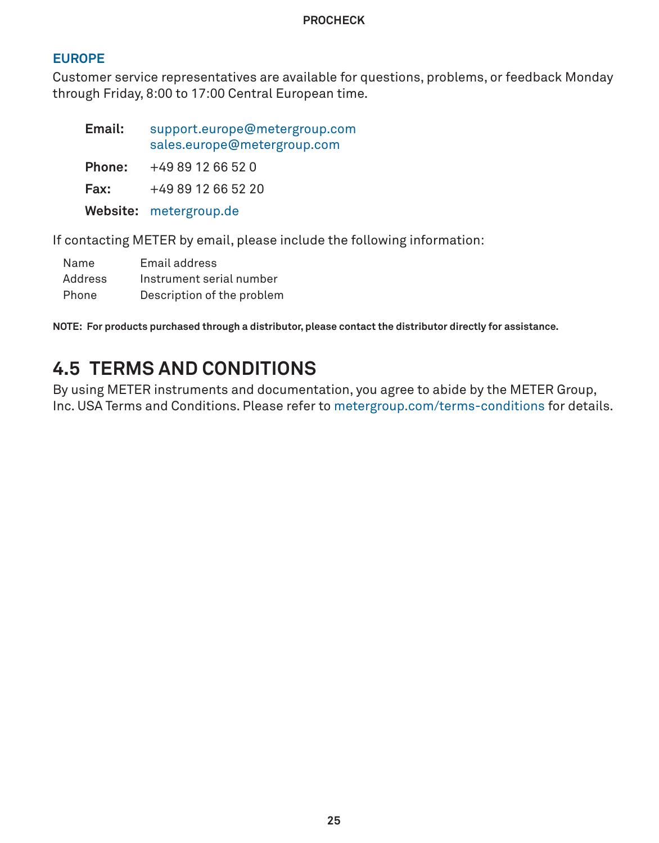### <span id="page-27-0"></span>**EUROPE**

Customer service representatives are available for questions, problems, or feedback Monday through Friday, 8:00 to 17:00 Central European time.

| Email: | support.europe@metergroup.com<br>sales.europe@metergroup.com |
|--------|--------------------------------------------------------------|
| Phone: | +49 89 12 66 52 0                                            |
| Fax:   | +49 89 12 66 52 20                                           |
|        | Website: metergroup.de                                       |

If contacting METER by email, please include the following information:

| Name    | Email address              |
|---------|----------------------------|
| Address | Instrument serial number   |
| Phone   | Description of the problem |

**NOTE: For products purchased through a distributor, please contact the distributor directly for assistance.**

# **4.5 TERMS AND CONDITIONS**

By using METER instruments and documentation, you agree to abide by the METER Group, Inc. USA Terms and Conditions. Please refer to [metergroup.com/terms-conditions](http://www.metergroup.com/terms-conditions) for details.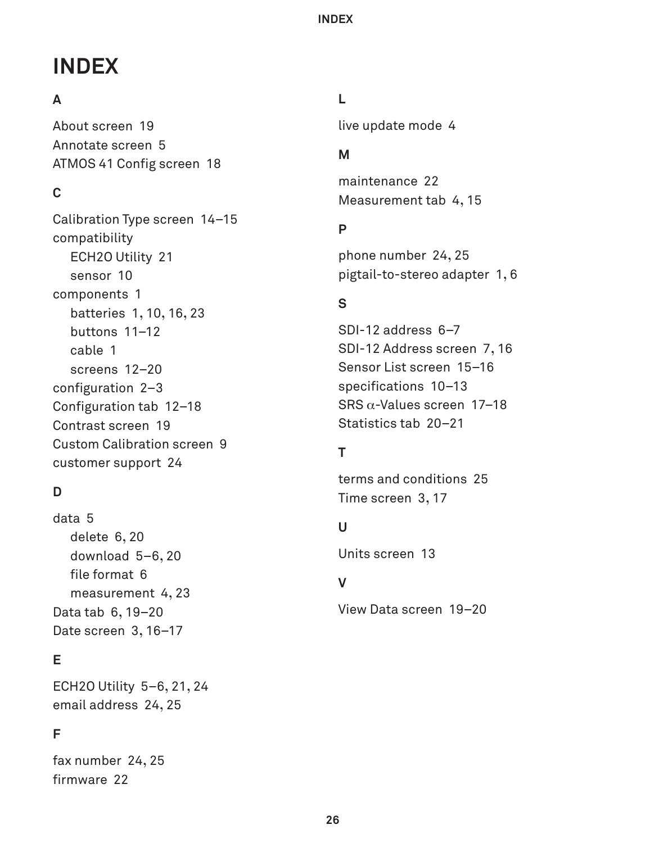# <span id="page-28-0"></span>**INDEX**

### **A**

About screen [19](#page-21-0) Annotate screen [5](#page-7-0) ATMOS 41 Config screen [18](#page-20-2)

### **C**

Calibration Type screen [14](#page-16-1)[–15](#page-17-2) compatibility ECH2O Utility [21](#page-23-0) sensor [10](#page-12-0) components [1](#page-3-0) batteries [1](#page-3-0)**,** [10](#page-12-0)**,** [16](#page-18-1)**,** [23](#page-25-0) buttons [11](#page-13-0)[–12](#page-14-0) cable [1](#page-3-0) screens [12](#page-14-0)[–20](#page-22-0) configuration [2](#page-4-0)[–3](#page-5-6) Configuration tab [12](#page-14-0)[–18](#page-20-2) Contrast screen [19](#page-21-0) Custom Calibration screen [9](#page-11-2) customer support [24](#page-26-0)

## **D**

data [5](#page-7-0) delete [6](#page-8-0)**,** [20](#page-22-0) download [5–](#page-7-0)[6](#page-8-0)**,** [20](#page-22-0) file format [6](#page-8-0) measurement [4](#page-6-0)**,** [23](#page-25-0) Data tab [6](#page-8-0)**,** [19](#page-21-0)[–20](#page-22-0) Date screen [3](#page-5-6)**,** [16](#page-18-1)[–17](#page-19-2)

## **E**

ECH2O Utility [5](#page-7-0)[–6](#page-8-0)**,** [21](#page-23-0)**,** [24](#page-26-0) email address [24](#page-26-0)**,** [25](#page-27-0)

### **F**

fax number [24](#page-26-0)**,** [25](#page-27-0) firmware [22](#page-24-0)

### **L**

live update mode [4](#page-6-0)

### **M**

maintenance [22](#page-24-0) Measurement tab [4](#page-6-0)**,** [15](#page-17-2)

### **P**

phone number [24](#page-26-0)**,** [25](#page-27-0) pigtail-to-stereo adapter [1](#page-3-0)**,** [6](#page-8-0)

# **S**

SDI-12 address [6](#page-8-0)[–7](#page-9-6) SDI-12 Address screen [7](#page-9-6)**,** [16](#page-18-1) Sensor List screen [15](#page-17-2)[–16](#page-18-1) specifications [10](#page-12-0)[–13](#page-15-0) SRS α-Values screen [17](#page-19-2)[–18](#page-20-2) Statistics tab [20](#page-22-0)[–21](#page-23-0)

### **T**

terms and conditions [25](#page-27-0) Time screen [3](#page-5-6)**,** [17](#page-19-2)

### **U**

Units screen [13](#page-15-0)

### **V**

View Data screen [19](#page-21-0)[–20](#page-22-0)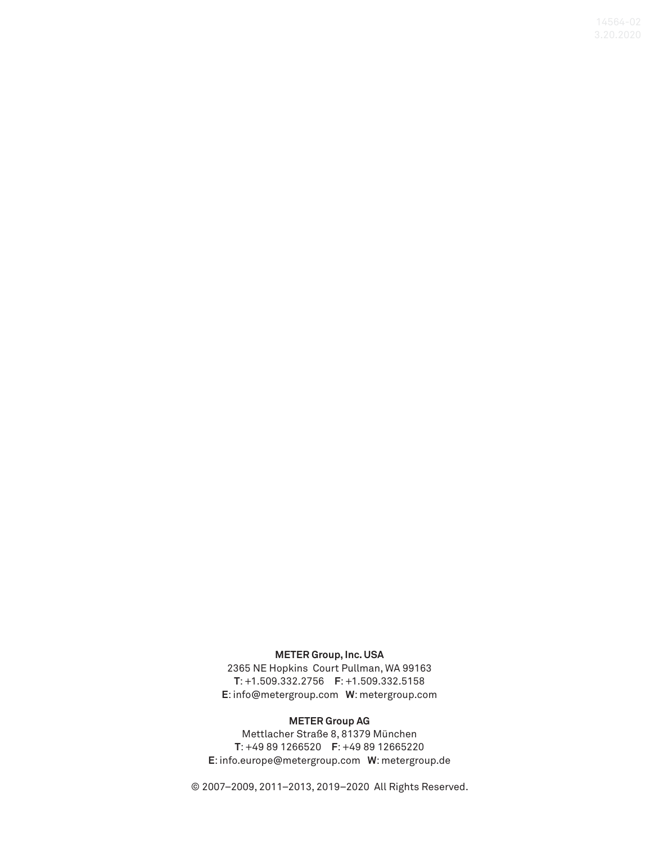#### **METER Group, Inc. USA**

2365 NE Hopkins Court Pullman, WA 99163 **T**: +1.509.332.2756 **F**: +1.509.332.5158 **E**: info@metergroup.com **W**: metergroup.com

#### **METER Group AG**

Mettlacher Straße 8, 81379 München **T**: +49 89 1266520 **F**: +49 89 12665220 **E**: info.europe@metergroup.com **W**: metergroup.de

© 2007–2009, 2011–2013, 2019–2020 All Rights Reserved.